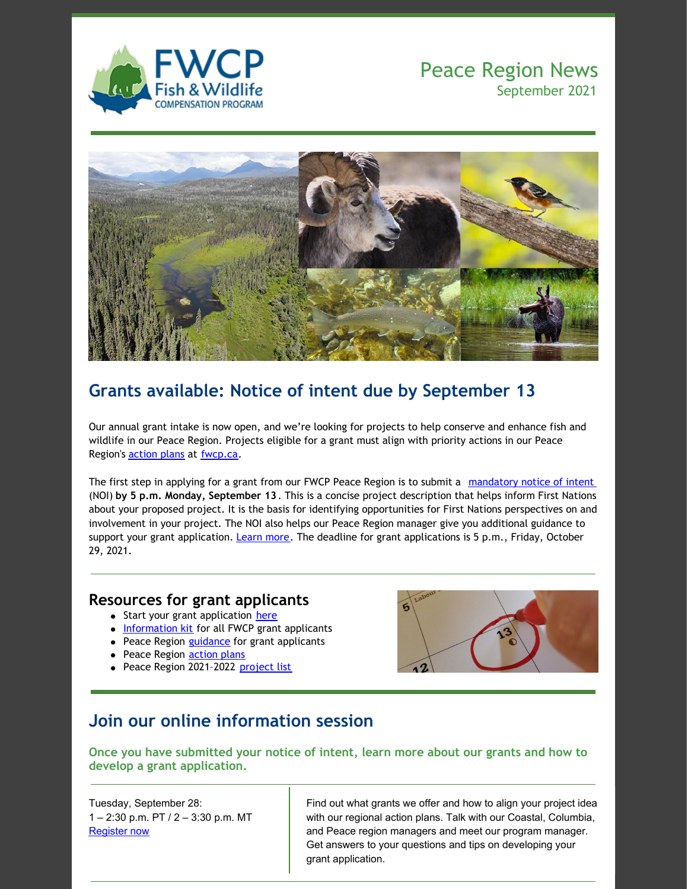

## Peace Region News September 2021



# **Grants available: Notice of intent due by September 13**

Our annual grant intake is now open, and we're looking for projects to help conserve and enhance fish and wildlife in our Peace Region. Projects eligible for a grant must align with priority actions in our Peace Region's **[action](https://fwcp.ca/action-plans/) plans** at [fwcp.ca](https://fwcp.ca/).

The first step in applying for a grant from our FWCP Peace Region is to submit a [mandatory](https://fwcp.ca/peace-region-notice-intent/) notice of intent (NOI) **by 5 p.m. Monday, September 13**. This is a concise project description that helps inform First Nations about your proposed project. It is the basis for identifying opportunities for First Nations perspectives on and involvement in your project. The NOI also helps our Peace Region manager give you additional guidance to support your grant application. [Learn](https://fwcp.ca/peace-region-notice-intent/) more. The deadline for grant applications is 5 p.m., Friday, October 29, 2021.

#### **Resources for grant applicants**

- Start your grant application [here](https://fwcp.ca/apply-for-funding/)
- [Information](https://fwcp.ca/info-kit-for-grant-applicants/) kit for all FWCP grant applicants
- Peace Region [guidance](https://fwcp.ca/app/uploads/2021/01/Grant-Guidance-Peace-Region-F23-Aug-26-2021.pdf) for grant applicants
- Peace Region **[action](https://fwcp.ca/action-plans-peace-region/) plans**
- Peace Region 2021-2022 [project](https://fwcp.ca/app/uploads/2021/04/Project-List-Peace-Region-F22-April-22-2021.pdf) list



## **Join our online information session**

**Once you have submitted your notice of intent, learn more about our grants and how to develop a grant application.**

Tuesday, September 28: 1 – 2:30 p.m. PT / 2 – 3:30 p.m. MT [Register](https://us02web.zoom.us/meeting/register/tZIldeytpz0rHNbJPH8TUbiOyXQ8hnZDx3b5) now

Find out what grants we offer and how to align your project idea with our regional action plans. Talk with our Coastal, Columbia, and Peace region managers and meet our program manager. Get answers to your questions and tips on developing your grant application.